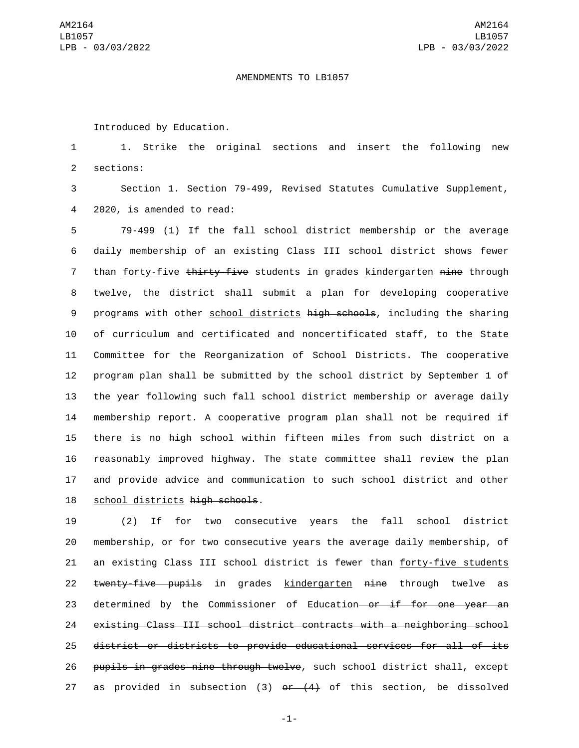## AMENDMENTS TO LB1057

Introduced by Education.

1 1. Strike the original sections and insert the following new 2 sections:

3 Section 1. Section 79-499, Revised Statutes Cumulative Supplement, 4 2020, is amended to read:

 79-499 (1) If the fall school district membership or the average daily membership of an existing Class III school district shows fewer 7 than forty-five thirty-five students in grades kindergarten nine through twelve, the district shall submit a plan for developing cooperative 9 programs with other school districts high schools, including the sharing of curriculum and certificated and noncertificated staff, to the State Committee for the Reorganization of School Districts. The cooperative program plan shall be submitted by the school district by September 1 of the year following such fall school district membership or average daily membership report. A cooperative program plan shall not be required if there is no high school within fifteen miles from such district on a reasonably improved highway. The state committee shall review the plan and provide advice and communication to such school district and other 18 school districts high schools.

19 (2) If for two consecutive years the fall school district 20 membership, or for two consecutive years the average daily membership, of 21 an existing Class III school district is fewer than forty-five students 22 twenty-five pupils in grades kindergarten nine through twelve as 23 determined by the Commissioner of Education or if for one year an 24 existing Class III school district contracts with a neighboring school 25 district or districts to provide educational services for all of its 26 pupils in grades nine through twelve, such school district shall, except 27 as provided in subsection  $(3)$  or  $(4)$  of this section, be dissolved

-1-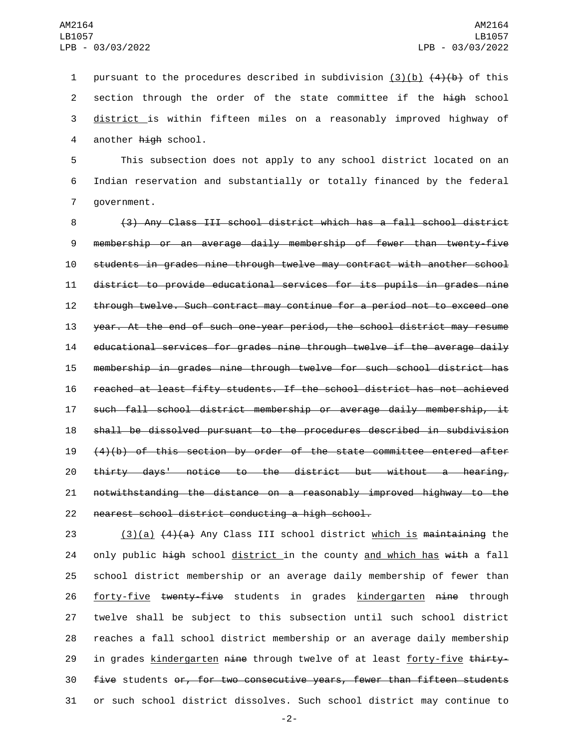1 pursuant to the procedures described in subdivision  $(3)(b)$   $(4)(b)$  of this 2 section through the order of the state committee if the high school 3 district is within fifteen miles on a reasonably improved highway of 4 another high school.

5 This subsection does not apply to any school district located on an 6 Indian reservation and substantially or totally financed by the federal 7 government.

 (3) Any Class III school district which has a fall school district membership or an average daily membership of fewer than twenty-five students in grades nine through twelve may contract with another school district to provide educational services for its pupils in grades nine through twelve. Such contract may continue for a period not to exceed one year. At the end of such one-year period, the school district may resume educational services for grades nine through twelve if the average daily membership in grades nine through twelve for such school district has reached at least fifty students. If the school district has not achieved such fall school district membership or average daily membership, it shall be dissolved pursuant to the procedures described in subdivision (4)(b) of this section by order of the state committee entered after thirty days' notice to the district but without a hearing, notwithstanding the distance on a reasonably improved highway to the 22 nearest school district conducting a high school.

23 (3)(a)  $(4)(a)$  Any Class III school district which is maintaining the 24 only public high school district in the county and which has with a fall 25 school district membership or an average daily membership of fewer than 26 forty-five twenty-five students in grades kindergarten nine through 27 twelve shall be subject to this subsection until such school district 28 reaches a fall school district membership or an average daily membership 29 in grades kindergarten nine through twelve of at least forty-five thirty-30 five students or, for two consecutive years, fewer than fifteen students 31 or such school district dissolves. Such school district may continue to

-2-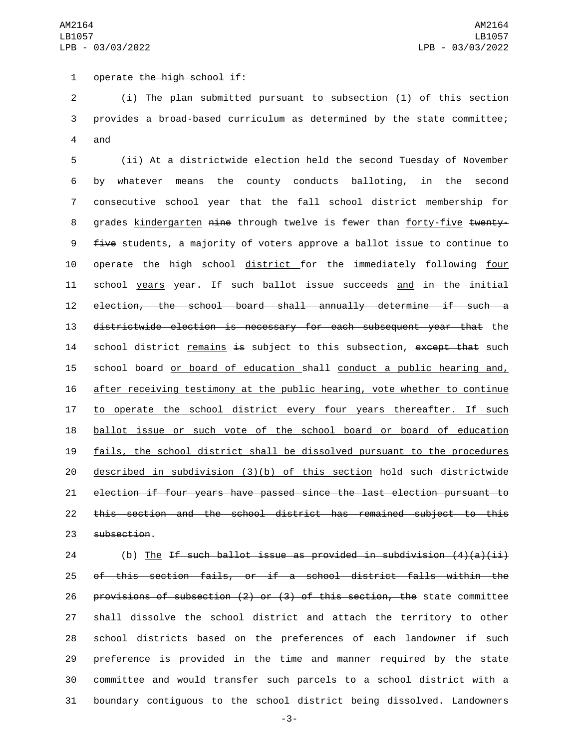1 operate the high school if:

2 (i) The plan submitted pursuant to subsection (1) of this section 3 provides a broad-based curriculum as determined by the state committee; 4 and

 (ii) At a districtwide election held the second Tuesday of November by whatever means the county conducts balloting, in the second consecutive school year that the fall school district membership for 8 grades kindergarten nine through twelve is fewer than forty-five twenty-9 five students, a majority of voters approve a ballot issue to continue to 10 operate the high school district for the immediately following four 11 school years year. If such ballot issue succeeds and in the initial election, the school board shall annually determine if such a districtwide election is necessary for each subsequent year that the 14 school district remains is subject to this subsection, except that such school board or board of education shall conduct a public hearing and, after receiving testimony at the public hearing, vote whether to continue to operate the school district every four years thereafter. If such ballot issue or such vote of the school board or board of education fails, the school district shall be dissolved pursuant to the procedures described in subdivision (3)(b) of this section hold such districtwide election if four years have passed since the last election pursuant to this section and the school district has remained subject to this 23 subsection.

24 (b) The If such ballot issue as provided in subdivision  $(4)(a)(ii)$  of this section fails, or if a school district falls within the provisions of subsection (2) or (3) of this section, the state committee shall dissolve the school district and attach the territory to other school districts based on the preferences of each landowner if such preference is provided in the time and manner required by the state committee and would transfer such parcels to a school district with a boundary contiguous to the school district being dissolved. Landowners

-3-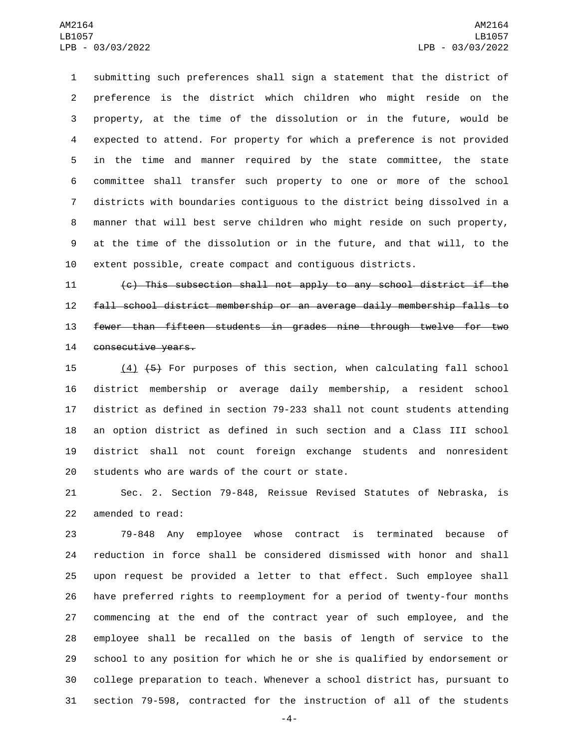submitting such preferences shall sign a statement that the district of preference is the district which children who might reside on the property, at the time of the dissolution or in the future, would be expected to attend. For property for which a preference is not provided in the time and manner required by the state committee, the state committee shall transfer such property to one or more of the school districts with boundaries contiguous to the district being dissolved in a manner that will best serve children who might reside on such property, at the time of the dissolution or in the future, and that will, to the extent possible, create compact and contiguous districts.

 (c) This subsection shall not apply to any school district if the fall school district membership or an average daily membership falls to fewer than fifteen students in grades nine through twelve for two 14 consecutive years.

 (4) (5) For purposes of this section, when calculating fall school district membership or average daily membership, a resident school district as defined in section 79-233 shall not count students attending an option district as defined in such section and a Class III school district shall not count foreign exchange students and nonresident 20 students who are wards of the court or state.

 Sec. 2. Section 79-848, Reissue Revised Statutes of Nebraska, is 22 amended to read:

 79-848 Any employee whose contract is terminated because of reduction in force shall be considered dismissed with honor and shall upon request be provided a letter to that effect. Such employee shall have preferred rights to reemployment for a period of twenty-four months commencing at the end of the contract year of such employee, and the employee shall be recalled on the basis of length of service to the school to any position for which he or she is qualified by endorsement or college preparation to teach. Whenever a school district has, pursuant to section 79-598, contracted for the instruction of all of the students

-4-